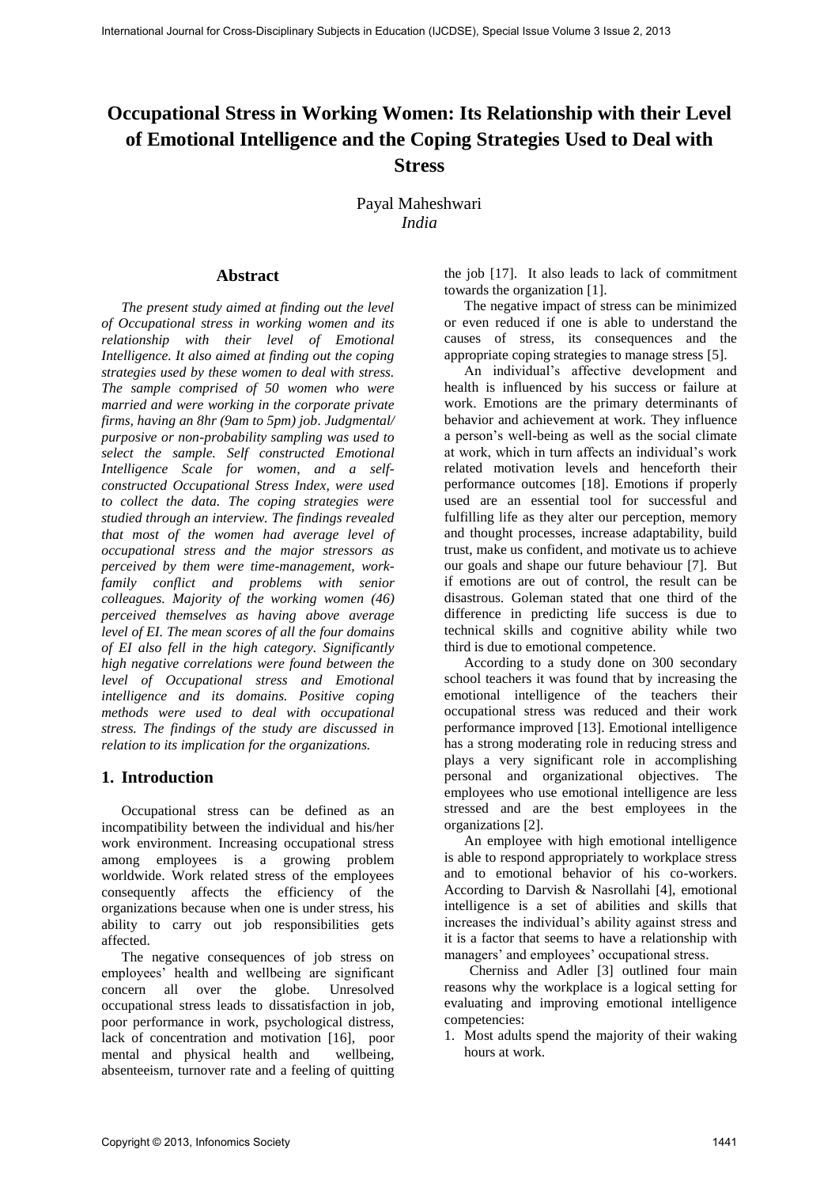# **Occupational Stress in Working Women: Its Relationship with their Level of Emotional Intelligence and the Coping Strategies Used to Deal with Stress**

Payal Maheshwari *India*

#### **Abstract**

*The present study aimed at finding out the level of Occupational stress in working women and its relationship with their level of Emotional Intelligence. It also aimed at finding out the coping strategies used by these women to deal with stress. The sample comprised of 50 women who were married and were working in the corporate private firms, having an 8hr (9am to 5pm) job. Judgmental/ purposive or non-probability sampling was used to select the sample. Self constructed Emotional Intelligence Scale for women, and a selfconstructed Occupational Stress Index, were used to collect the data. The coping strategies were studied through an interview. The findings revealed that most of the women had average level of occupational stress and the major stressors as perceived by them were time-management, workfamily conflict and problems with senior colleagues. Majority of the working women (46) perceived themselves as having above average level of EI. The mean scores of all the four domains of EI also fell in the high category. Significantly high negative correlations were found between the level of Occupational stress and Emotional intelligence and its domains. Positive coping methods were used to deal with occupational stress. The findings of the study are discussed in relation to its implication for the organizations.* Interlate Acred to consider the special behavior states in the computer of the Copyright Corollate of the Cross-Disciplinary Subjects in Equation (I) and the special of Cross-Disciplinary Subjects in Equation (I) and the

## **1. Introduction**

Occupational stress can be defined as an incompatibility between the individual and his/her work environment. Increasing occupational stress among employees is a growing problem worldwide. Work related stress of the employees consequently affects the efficiency of the organizations because when one is under stress, his ability to carry out job responsibilities gets affected.

The negative consequences of job stress on employees' health and wellbeing are significant concern all over the globe. Unresolved occupational stress leads to dissatisfaction in job, poor performance in work, psychological distress, lack of concentration and motivation [16], poor mental and physical health and wellbeing, absenteeism, turnover rate and a feeling of quitting the job [17]. It also leads to lack of commitment towards the organization [1].

The negative impact of stress can be minimized or even reduced if one is able to understand the causes of stress, its consequences and the appropriate coping strategies to manage stress [5].

An individual's affective development and health is influenced by his success or failure at work. Emotions are the primary determinants of behavior and achievement at work. They influence a person's well-being as well as the social climate at work, which in turn affects an individual's work related motivation levels and henceforth their performance outcomes [18]. Emotions if properly used are an essential tool for successful and fulfilling life as they alter our perception, memory and thought processes, increase adaptability, build trust, make us confident, and motivate us to achieve our goals and shape our future behaviour [7]. But if emotions are out of control, the result can be disastrous. Goleman stated that one third of the difference in predicting life success is due to technical skills and cognitive ability while two third is due to emotional competence.

According to a study done on 300 secondary school teachers it was found that by increasing the emotional intelligence of the teachers their occupational stress was reduced and their work performance improved [13]. Emotional intelligence has a strong moderating role in reducing stress and plays a very significant role in accomplishing personal and organizational objectives. The employees who use emotional intelligence are less stressed and are the best employees in the organizations [2].

An employee with high emotional intelligence is able to respond appropriately to workplace stress and to emotional behavior of his co-workers. According to Darvish & Nasrollahi [4], emotional intelligence is a set of abilities and skills that increases the individual's ability against stress and it is a factor that seems to have a relationship with managers' and employees' occupational stress.

Cherniss and Adler [3] outlined four main reasons why the workplace is a logical setting for evaluating and improving emotional intelligence competencies:

1. Most adults spend the majority of their waking hours at work.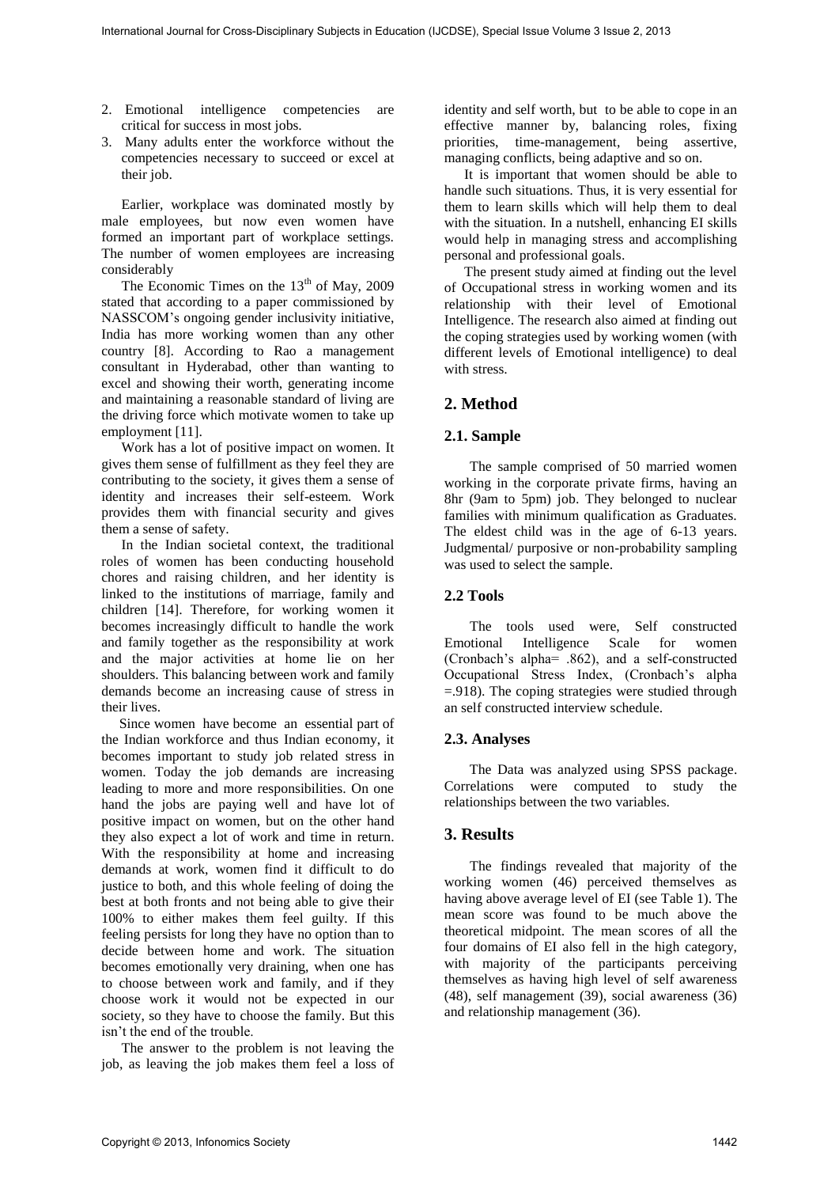- 2. Emotional intelligence competencies are critical for success in most jobs.
- 3. Many adults enter the workforce without the competencies necessary to succeed or excel at their job.

Earlier, workplace was dominated mostly by male employees, but now even women have formed an important part of workplace settings. The number of women employees are increasing considerably

The Economic Times on the  $13<sup>th</sup>$  of May, 2009 stated that according to a paper commissioned by NASSCOM's ongoing gender inclusivity initiative, India has more working women than any other country [8]. According to Rao a management consultant in Hyderabad, other than wanting to excel and showing their worth, generating income and maintaining a reasonable standard of living are the driving force which motivate women to take up employment [11].

Work has a lot of positive impact on women. It gives them sense of fulfillment as they feel they are contributing to the society, it gives them a sense of identity and increases their self-esteem. Work provides them with financial security and gives them a sense of safety.

In the Indian societal context, the traditional roles of women has been conducting household chores and raising children, and her identity is linked to the institutions of marriage, family and children [14]. Therefore, for working women it becomes increasingly difficult to handle the work and family together as the responsibility at work and the major activities at home lie on her shoulders. This balancing between work and family demands become an increasing cause of stress in their lives.

 Since women have become an essential part of the Indian workforce and thus Indian economy, it becomes important to study job related stress in women. Today the job demands are increasing leading to more and more responsibilities. On one hand the jobs are paying well and have lot of positive impact on women, but on the other hand they also expect a lot of work and time in return. With the responsibility at home and increasing demands at work, women find it difficult to do justice to both, and this whole feeling of doing the best at both fronts and not being able to give their 100% to either makes them feel guilty. If this feeling persists for long they have no option than to decide between home and work. The situation becomes emotionally very draining, when one has to choose between work and family, and if they choose work it would not be expected in our society, so they have to choose the family. But this isn't the end of the trouble. International Journal international for Cross-Disciplinary Subjects in the cross-Disciplinary Cross-Disciplinary Subjects in The Cross-Disciplinary Subjects in Eq. 6 (1) and the Cross-Disciplinary Cross-Disciplinary (III

The answer to the problem is not leaving the job, as leaving the job makes them feel a loss of identity and self worth, but to be able to cope in an effective manner by, balancing roles, fixing priorities, time-management, being assertive, managing conflicts, being adaptive and so on.

It is important that women should be able to handle such situations. Thus, it is very essential for them to learn skills which will help them to deal with the situation. In a nutshell, enhancing EI skills would help in managing stress and accomplishing personal and professional goals.

The present study aimed at finding out the level of Occupational stress in working women and its relationship with their level of Emotional Intelligence. The research also aimed at finding out the coping strategies used by working women (with different levels of Emotional intelligence) to deal with stress.

## **2. Method**

### **2.1. Sample**

The sample comprised of 50 married women working in the corporate private firms, having an 8hr (9am to 5pm) job. They belonged to nuclear families with minimum qualification as Graduates. The eldest child was in the age of 6-13 years. Judgmental/ purposive or non-probability sampling was used to select the sample.

#### **2.2 Tools**

The tools used were, Self constructed Emotional Intelligence Scale for women (Cronbach's alpha= .862), and a self-constructed Occupational Stress Index, (Cronbach's alpha =.918). The coping strategies were studied through an self constructed interview schedule.

#### **2.3. Analyses**

The Data was analyzed using SPSS package. Correlations were computed to study the relationships between the two variables.

#### **3. Results**

The findings revealed that majority of the working women (46) perceived themselves as having above average level of EI (see Table 1). The mean score was found to be much above the theoretical midpoint. The mean scores of all the four domains of EI also fell in the high category, with majority of the participants perceiving themselves as having high level of self awareness (48), self management (39), social awareness (36) and relationship management (36).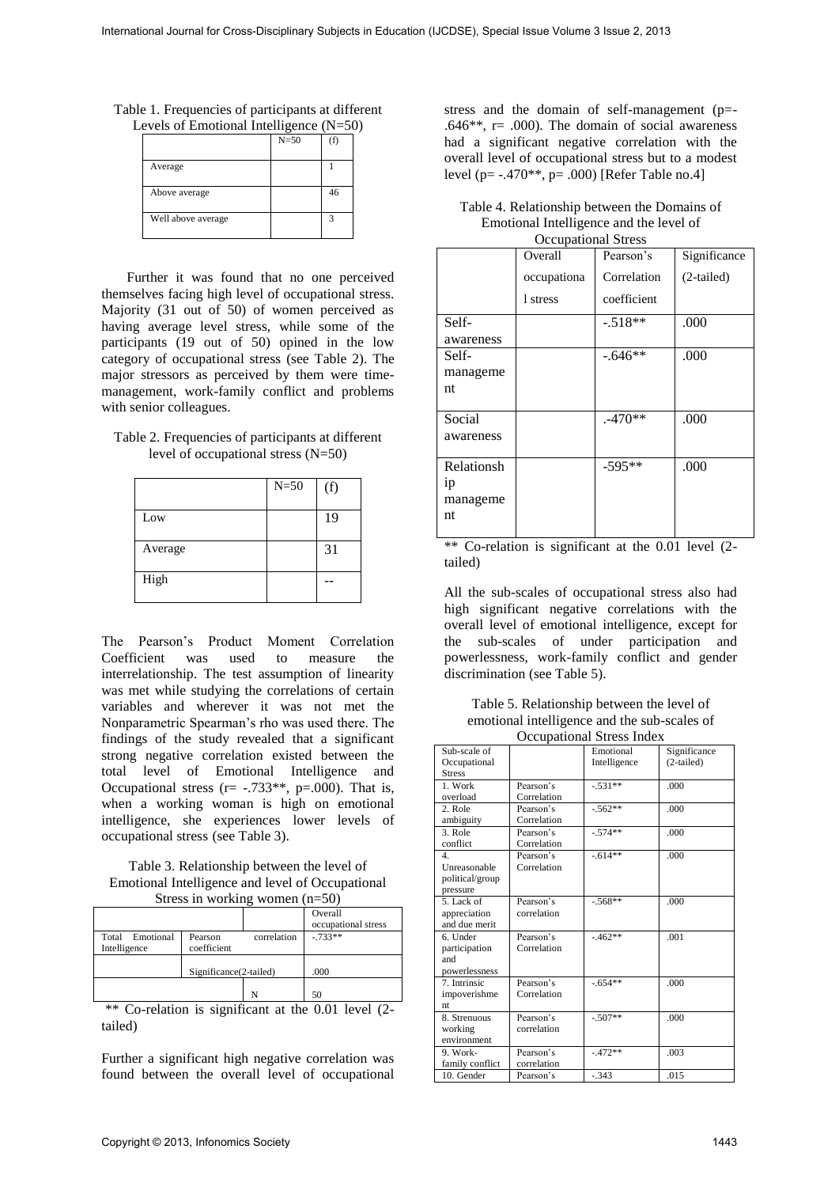Table 1. Frequencies of participants at different Levels of Emotional Intelligence  $(N=50)$ 

| $\alpha$ vers of Emonomal michigence ( $\alpha$ – $\beta$ |        |    |
|-----------------------------------------------------------|--------|----|
|                                                           | $N=50$ |    |
| Average                                                   |        |    |
| Above average                                             |        | 46 |
| Well above average                                        |        |    |

#### Table 2. Frequencies of participants at different level of occupational stress (N=50)

|         | $N=50$ | (f) |
|---------|--------|-----|
| Low     |        | 19  |
| Average |        | 31  |
| High    |        |     |

Table 3. Relationship between the level of Emotional Intelligence and level of Occupational Stress in working women (n=50)

|                 |                        |             | Overall<br>occupational stress |
|-----------------|------------------------|-------------|--------------------------------|
|                 |                        |             |                                |
| Total Emotional | Pearson                | correlation | $-733**$                       |
| Intelligence    | coefficient            |             |                                |
|                 |                        |             |                                |
|                 | Significance(2-tailed) |             | .000                           |
|                 |                        |             |                                |
|                 |                        | N           | 50                             |

| Table 4. Relationship between the Domains of |
|----------------------------------------------|
| Emotional Intelligence and the level of      |
| Occupational Stress                          |

| Occupational Stress |             |             |              |  |  |
|---------------------|-------------|-------------|--------------|--|--|
|                     | Overall     | Pearson's   | Significance |  |  |
|                     | occupationa | Correlation | $(2-tailed)$ |  |  |
|                     | 1 stress    | coefficient |              |  |  |
| Self-               |             | $-.518**$   | .000         |  |  |
| awareness           |             |             |              |  |  |
| Self-               |             | $-.646**$   | .000         |  |  |
| manageme            |             |             |              |  |  |
| nt                  |             |             |              |  |  |
| Social              |             | $.470**$    | .000         |  |  |
| awareness           |             |             |              |  |  |
| Relationsh          |             | $-595**$    | .000         |  |  |
| ip                  |             |             |              |  |  |
| manageme            |             |             |              |  |  |
| nt                  |             |             |              |  |  |
|                     |             |             |              |  |  |

Table 5. Relationship between the level of emotional intelligence and the sub-scales of Occupational Stress Index

|              | Table 1. Frequencies of participants at different<br>Levels of Emotional Intelligence (N=50)                                                                                                                                                                                                  | $N=50$      | (f)                             |                                                                                                                                                                        | stress and the domain of self-management (p=<br>.646**, $r = .000$ ). The domain of social awareness                                                                                                                                                                                                                         |                                               |                      |
|--------------|-----------------------------------------------------------------------------------------------------------------------------------------------------------------------------------------------------------------------------------------------------------------------------------------------|-------------|---------------------------------|------------------------------------------------------------------------------------------------------------------------------------------------------------------------|------------------------------------------------------------------------------------------------------------------------------------------------------------------------------------------------------------------------------------------------------------------------------------------------------------------------------|-----------------------------------------------|----------------------|
|              | Average                                                                                                                                                                                                                                                                                       |             | $\mathbf{1}$                    | had a significant negative correlation with the<br>overall level of occupational stress but to a modest<br>level (p= -.470 <sup>**</sup> , p= .000) [Refer Table no.4] |                                                                                                                                                                                                                                                                                                                              |                                               |                      |
|              | Above average<br>Well above average                                                                                                                                                                                                                                                           |             | 46<br>3                         | Table 4. Relationship between the Domains of<br>Emotional Intelligence and the level of                                                                                |                                                                                                                                                                                                                                                                                                                              |                                               |                      |
|              |                                                                                                                                                                                                                                                                                               |             |                                 |                                                                                                                                                                        | Overall                                                                                                                                                                                                                                                                                                                      | <b>Occupational Stress</b><br>Pearson's       | Significan           |
|              | Further it was found that no one perceived<br>themselves facing high level of occupational stress.                                                                                                                                                                                            |             |                                 |                                                                                                                                                                        | occupationa<br>1 stress                                                                                                                                                                                                                                                                                                      | Correlation<br>coefficient                    | $(2-tailed)$         |
|              | Majority (31 out of 50) of women perceived as<br>having average level stress, while some of the<br>participants (19 out of 50) opined in the low                                                                                                                                              |             |                                 | Self-<br>awareness                                                                                                                                                     |                                                                                                                                                                                                                                                                                                                              | $-.518**$                                     | .000                 |
|              | category of occupational stress (see Table 2). The<br>major stressors as perceived by them were time-<br>management, work-family conflict and problems                                                                                                                                        |             |                                 | Self-<br>manageme<br>nt                                                                                                                                                |                                                                                                                                                                                                                                                                                                                              | $-.646**$                                     | .000                 |
|              | with senior colleagues.<br>Table 2. Frequencies of participants at different                                                                                                                                                                                                                  |             |                                 | Social<br>awareness                                                                                                                                                    |                                                                                                                                                                                                                                                                                                                              | $.470**$                                      | .000                 |
|              | level of occupational stress $(N=50)$                                                                                                                                                                                                                                                         | $N=50$      | (f)                             | Relationsh<br>ip                                                                                                                                                       |                                                                                                                                                                                                                                                                                                                              | $-595**$                                      | .000                 |
|              | Low                                                                                                                                                                                                                                                                                           |             | 19                              | manageme<br>nt                                                                                                                                                         |                                                                                                                                                                                                                                                                                                                              |                                               |                      |
|              | Average                                                                                                                                                                                                                                                                                       |             | 31                              |                                                                                                                                                                        | ** Co-relation is significant at the 0.01 level (2-                                                                                                                                                                                                                                                                          |                                               |                      |
|              | High                                                                                                                                                                                                                                                                                          |             | $\overline{a}$                  | tailed)                                                                                                                                                                | All the sub-scales of occupational stress also had                                                                                                                                                                                                                                                                           |                                               |                      |
|              | The Pearson's Product Moment Correlation<br>Coefficient was used to measure the<br>interrelationship. The test assumption of linearity<br>was met while studying the correlations of certain<br>variables and wherever it was not met the<br>Nonparametric Spearman's rho was used there. The |             |                                 | the                                                                                                                                                                    | high significant negative correlations with the<br>overall level of emotional intelligence, except for<br>sub-scales of under participation<br>powerlessness, work-family conflict and gender<br>discrimination (see Table 5).<br>Table 5. Relationship between the level of<br>emotional intelligence and the sub-scales of |                                               | and                  |
|              | findings of the study revealed that a significant<br>strong negative correlation existed between the                                                                                                                                                                                          |             |                                 | Sub-scale of                                                                                                                                                           |                                                                                                                                                                                                                                                                                                                              | <b>Occupational Stress Index</b><br>Emotional | Significance         |
|              | level of Emotional Intelligence                                                                                                                                                                                                                                                               |             | and                             | Occupational<br><b>Stress</b><br>1. Work                                                                                                                               | Pearson's                                                                                                                                                                                                                                                                                                                    | Intelligence<br>$-.531**$                     | $(2-tailed)$<br>.000 |
|              | Occupational stress ( $r = -.733**$ , $p = .000$ ). That is,<br>when a working woman is high on emotional                                                                                                                                                                                     |             |                                 | overload<br>2. Role                                                                                                                                                    | Correlation<br>Pearson's                                                                                                                                                                                                                                                                                                     | $-.562**$                                     | .000                 |
|              | intelligence, she experiences lower levels of                                                                                                                                                                                                                                                 |             |                                 | ambiguity<br>3. Role                                                                                                                                                   | Correlation<br>Pearson's                                                                                                                                                                                                                                                                                                     | $-.574**$                                     | .000                 |
| total        | occupational stress (see Table 3).<br>Table 3. Relationship between the level of<br>Emotional Intelligence and level of Occupational                                                                                                                                                          |             |                                 | conflict<br>4.<br>Unreasonable<br>political/group<br>pressure                                                                                                          | Correlation<br>Pearson's<br>Correlation                                                                                                                                                                                                                                                                                      | $-.614**$                                     | .000                 |
|              | Stress in working women $(n=50)$                                                                                                                                                                                                                                                              |             | Overall                         | 5. Lack of<br>appreciation                                                                                                                                             | Pearson's<br>correlation                                                                                                                                                                                                                                                                                                     | $-.568**$                                     | .000                 |
| Intelligence | Total Emotional<br>Pearson<br>coefficient                                                                                                                                                                                                                                                     | correlation | occupational stress<br>$-733**$ | and due merit<br>6. Under<br>participation<br>and                                                                                                                      | Pearson's<br>Correlation                                                                                                                                                                                                                                                                                                     | $-462**$                                      | .001                 |
|              | Significance(2-tailed)<br>N                                                                                                                                                                                                                                                                   |             | .000<br>50                      | powerlessness<br>7. Intrinsic<br>impoverishme                                                                                                                          | Pearson's<br>Correlation                                                                                                                                                                                                                                                                                                     | $-.654**$                                     | .000                 |
| tailed)      | ** Co-relation is significant at the 0.01 level (2-                                                                                                                                                                                                                                           |             |                                 | nt<br>8. Strenuous<br>working<br>environment<br>9. Work-                                                                                                               | Pearson's<br>correlation                                                                                                                                                                                                                                                                                                     | $-.507**$                                     | .000                 |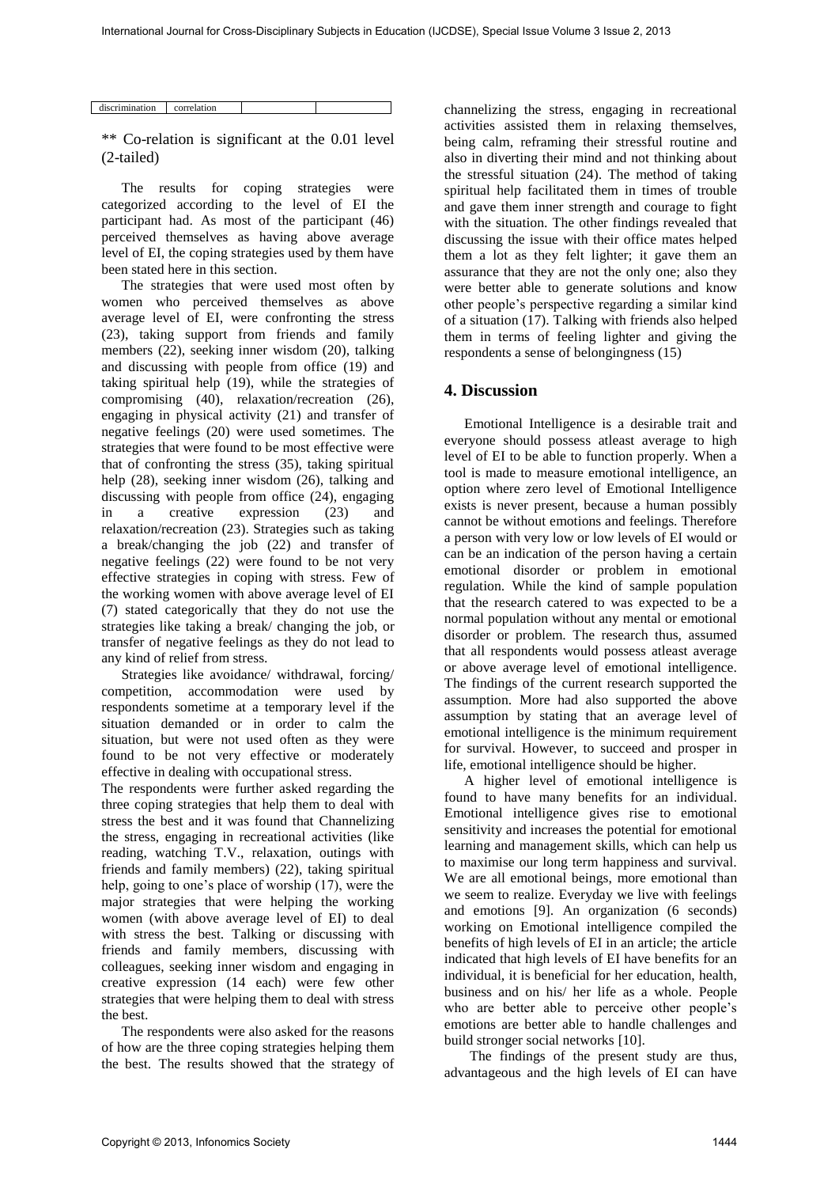| discrimination | correlation |  |
|----------------|-------------|--|

\*\* Co-relation is significant at the 0.01 level (2-tailed)

The results for coping strategies were categorized according to the level of EI the participant had. As most of the participant (46) perceived themselves as having above average level of EI, the coping strategies used by them have been stated here in this section.

The strategies that were used most often by women who perceived themselves as above average level of EI, were confronting the stress (23), taking support from friends and family members (22), seeking inner wisdom (20), talking and discussing with people from office (19) and taking spiritual help (19), while the strategies of compromising (40), relaxation/recreation (26), engaging in physical activity (21) and transfer of negative feelings (20) were used sometimes. The strategies that were found to be most effective were that of confronting the stress (35), taking spiritual help (28), seeking inner wisdom (26), talking and discussing with people from office (24), engaging in a creative expression (23) and relaxation/recreation (23). Strategies such as taking a break/changing the job (22) and transfer of negative feelings (22) were found to be not very effective strategies in coping with stress. Few of the working women with above average level of EI (7) stated categorically that they do not use the strategies like taking a break/ changing the job, or transfer of negative feelings as they do not lead to any kind of relief from stress. International Journal International For Cross-Disciplinary Subjects in Education (ISO 1975) and the control of the second the cross-Disciplinary Subjects in Equivarian (ISO 1975) and the control of the second the second

Strategies like avoidance/ withdrawal, forcing/ competition, accommodation were used by respondents sometime at a temporary level if the situation demanded or in order to calm the situation, but were not used often as they were found to be not very effective or moderately effective in dealing with occupational stress.

The respondents were further asked regarding the three coping strategies that help them to deal with stress the best and it was found that Channelizing the stress, engaging in recreational activities (like reading, watching T.V., relaxation, outings with friends and family members) (22), taking spiritual help, going to one's place of worship (17), were the major strategies that were helping the working women (with above average level of EI) to deal with stress the best. Talking or discussing with friends and family members, discussing with colleagues, seeking inner wisdom and engaging in creative expression (14 each) were few other strategies that were helping them to deal with stress the best.

The respondents were also asked for the reasons of how are the three coping strategies helping them the best. The results showed that the strategy of channelizing the stress, engaging in recreational activities assisted them in relaxing themselves, being calm, reframing their stressful routine and also in diverting their mind and not thinking about the stressful situation (24). The method of taking spiritual help facilitated them in times of trouble and gave them inner strength and courage to fight with the situation. The other findings revealed that discussing the issue with their office mates helped them a lot as they felt lighter; it gave them an assurance that they are not the only one; also they were better able to generate solutions and know other people's perspective regarding a similar kind of a situation (17). Talking with friends also helped them in terms of feeling lighter and giving the respondents a sense of belongingness (15)

#### **4. Discussion**

Emotional Intelligence is a desirable trait and everyone should possess atleast average to high level of EI to be able to function properly. When a tool is made to measure emotional intelligence, an option where zero level of Emotional Intelligence exists is never present, because a human possibly cannot be without emotions and feelings. Therefore a person with very low or low levels of EI would or can be an indication of the person having a certain emotional disorder or problem in emotional regulation. While the kind of sample population that the research catered to was expected to be a normal population without any mental or emotional disorder or problem. The research thus, assumed that all respondents would possess atleast average or above average level of emotional intelligence. The findings of the current research supported the assumption. More had also supported the above assumption by stating that an average level of emotional intelligence is the minimum requirement for survival. However, to succeed and prosper in life, emotional intelligence should be higher.

A higher level of emotional intelligence is found to have many benefits for an individual. Emotional intelligence gives rise to emotional sensitivity and increases the potential for emotional learning and management skills, which can help us to maximise our long term happiness and survival. We are all emotional beings, more emotional than we seem to realize. Everyday we live with feelings and emotions [9]. An organization (6 seconds) working on Emotional intelligence compiled the benefits of high levels of EI in an article; the article indicated that high levels of EI have benefits for an individual, it is beneficial for her education, health, business and on his/ her life as a whole. People who are better able to perceive other people's emotions are better able to handle challenges and build stronger social networks [10].

The findings of the present study are thus, advantageous and the high levels of EI can have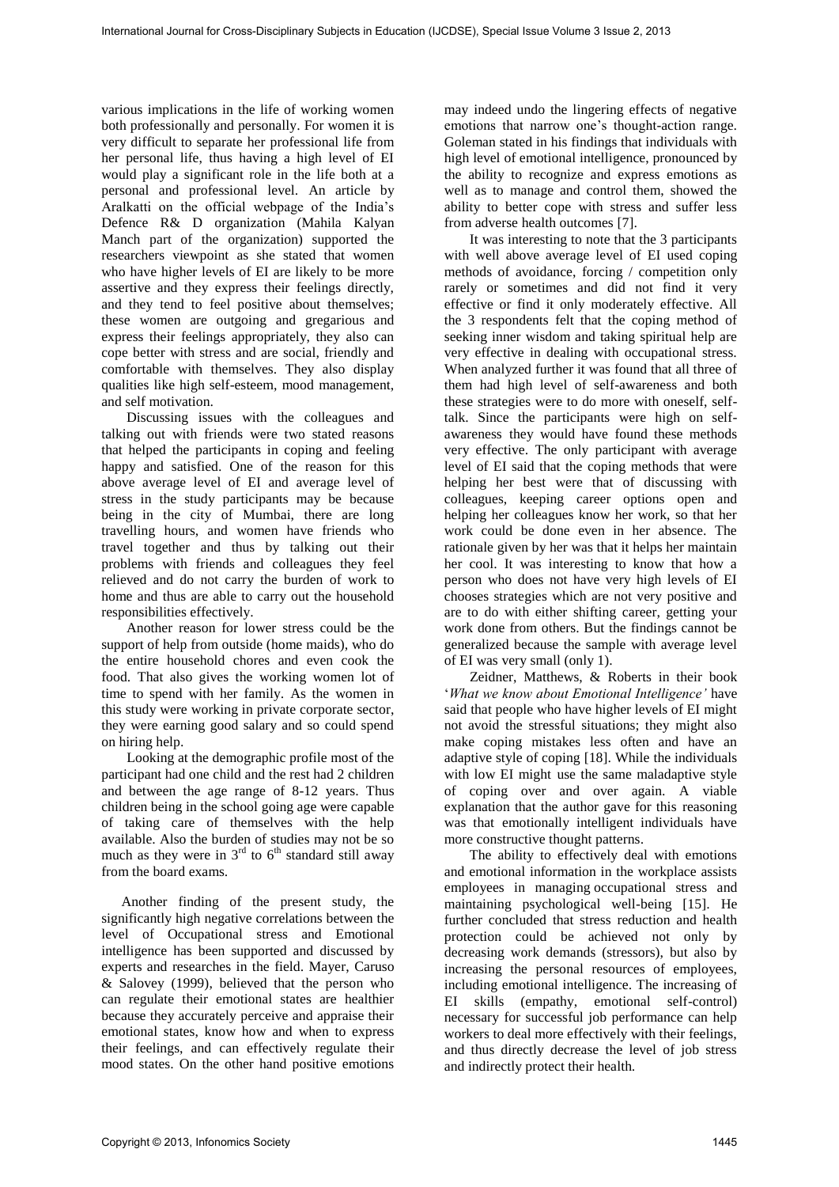various implications in the life of working women both professionally and personally. For women it is very difficult to separate her professional life from her personal life, thus having a high level of EI would play a significant role in the life both at a personal and professional level. An article by Aralkatti on the official webpage of the India's Defence R& D organization (Mahila Kalyan Manch part of the organization) supported the researchers viewpoint as she stated that women who have higher levels of EI are likely to be more assertive and they express their feelings directly, and they tend to feel positive about themselves; these women are outgoing and gregarious and express their feelings appropriately, they also can cope better with stress and are social, friendly and comfortable with themselves. They also display qualities like high self-esteem, mood management, and self motivation.

Discussing issues with the colleagues and talking out with friends were two stated reasons that helped the participants in coping and feeling happy and satisfied. One of the reason for this above average level of EI and average level of stress in the study participants may be because being in the city of Mumbai, there are long travelling hours, and women have friends who travel together and thus by talking out their problems with friends and colleagues they feel relieved and do not carry the burden of work to home and thus are able to carry out the household responsibilities effectively.

Another reason for lower stress could be the support of help from outside (home maids), who do the entire household chores and even cook the food. That also gives the working women lot of time to spend with her family. As the women in this study were working in private corporate sector, they were earning good salary and so could spend on hiring help.

Looking at the demographic profile most of the participant had one child and the rest had 2 children and between the age range of 8-12 years. Thus children being in the school going age were capable of taking care of themselves with the help available. Also the burden of studies may not be so much as they were in  $3<sup>rd</sup>$  to  $6<sup>th</sup>$  standard still away from the board exams.

Another finding of the present study, the significantly high negative correlations between the level of Occupational stress and Emotional intelligence has been supported and discussed by experts and researches in the field. Mayer, Caruso & Salovey (1999), believed that the person who can regulate their emotional states are healthier because they accurately perceive and appraise their emotional states, know how and when to express their feelings, and can effectively regulate their mood states. On the other hand positive emotions

may indeed undo the lingering effects of negative emotions that narrow one's thought-action range. Goleman stated in his findings that individuals with high level of emotional intelligence, pronounced by the ability to recognize and express emotions as well as to manage and control them, showed the ability to better cope with stress and suffer less from adverse health outcomes [7].

It was interesting to note that the 3 participants with well above average level of EI used coping methods of avoidance, forcing / competition only rarely or sometimes and did not find it very effective or find it only moderately effective. All the 3 respondents felt that the coping method of seeking inner wisdom and taking spiritual help are very effective in dealing with occupational stress. When analyzed further it was found that all three of them had high level of self-awareness and both these strategies were to do more with oneself, selftalk. Since the participants were high on selfawareness they would have found these methods very effective. The only participant with average level of EI said that the coping methods that were helping her best were that of discussing with colleagues, keeping career options open and helping her colleagues know her work, so that her work could be done even in her absence. The rationale given by her was that it helps her maintain her cool. It was interesting to know that how a person who does not have very high levels of EI chooses strategies which are not very positive and are to do with either shifting career, getting your work done from others. But the findings cannot be generalized because the sample with average level of EI was very small (only 1). International Sun of Cross-Disciplinary Superior Business (3.0268), Special University includes the Cross-Disciplinary Subjects in the Cross-Disciplinary Subjects in the Cross-Disciplinary Subjects in the Cross-Disciplin

Zeidner, Matthews, & Roberts in their book '*What we know about Emotional Intelligence'* have said that people who have higher levels of EI might not avoid the stressful situations; they might also make coping mistakes less often and have an adaptive style of coping [18]. While the individuals with low EI might use the same maladaptive style of coping over and over again. A viable explanation that the author gave for this reasoning was that emotionally intelligent individuals have more constructive thought patterns.

The ability to effectively deal with emotions and emotional information in the workplace assists employees in managing occupational stress and maintaining psychological well-being [15]. He further concluded that stress reduction and health protection could be achieved not only by decreasing work demands (stressors), but also by increasing the personal resources of employees, including emotional intelligence. The increasing of EI skills (empathy, emotional self-control) necessary for successful job performance can help workers to deal more effectively with their feelings, and thus directly decrease the level of job stress and indirectly protect their health.